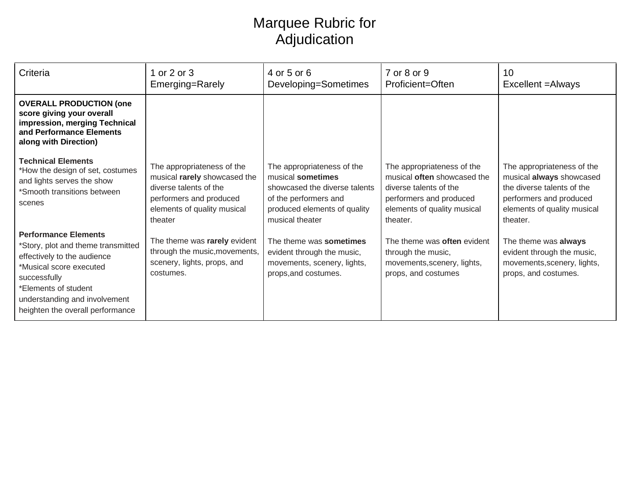## Marquee Rubric for Adjudication

| Criteria                                                                                                                                                                                                                                 | 1 or 2 or 3<br>Emerging=Rarely                                                                                                                            | 4 or 5 or 6<br>Developing=Sometimes                                                                                                                          | 7 or 8 or 9<br>Proficient=Often                                                                                                                                  | 10<br>Excellent = Always                                                                                                                                   |
|------------------------------------------------------------------------------------------------------------------------------------------------------------------------------------------------------------------------------------------|-----------------------------------------------------------------------------------------------------------------------------------------------------------|--------------------------------------------------------------------------------------------------------------------------------------------------------------|------------------------------------------------------------------------------------------------------------------------------------------------------------------|------------------------------------------------------------------------------------------------------------------------------------------------------------|
| <b>OVERALL PRODUCTION (one</b><br>score giving your overall<br>impression, merging Technical<br>and Performance Elements<br>along with Direction)                                                                                        |                                                                                                                                                           |                                                                                                                                                              |                                                                                                                                                                  |                                                                                                                                                            |
| <b>Technical Elements</b><br>*How the design of set, costumes<br>and lights serves the show<br>*Smooth transitions between<br>scenes                                                                                                     | The appropriateness of the<br>musical rarely showcased the<br>diverse talents of the<br>performers and produced<br>elements of quality musical<br>theater | The appropriateness of the<br>musical sometimes<br>showcased the diverse talents<br>of the performers and<br>produced elements of quality<br>musical theater | The appropriateness of the<br>musical <b>often</b> showcased the<br>diverse talents of the<br>performers and produced<br>elements of quality musical<br>theater. | The appropriateness of the<br>musical always showcased<br>the diverse talents of the<br>performers and produced<br>elements of quality musical<br>theater. |
| <b>Performance Elements</b><br>*Story, plot and theme transmitted<br>effectively to the audience<br>*Musical score executed<br>successfully<br>*Elements of student<br>understanding and involvement<br>heighten the overall performance | The theme was rarely evident<br>through the music, movements,<br>scenery, lights, props, and<br>costumes.                                                 | The theme was sometimes<br>evident through the music,<br>movements, scenery, lights,<br>props, and costumes.                                                 | The theme was often evident<br>through the music,<br>movements, scenery, lights,<br>props, and costumes                                                          | The theme was always<br>evident through the music,<br>movements, scenery, lights,<br>props, and costumes.                                                  |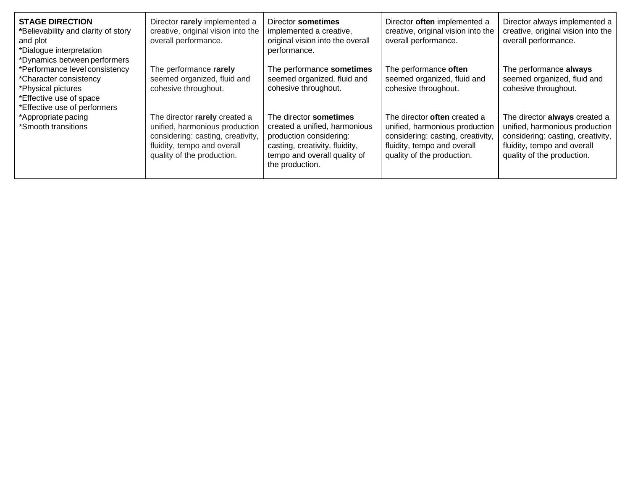| <b>STAGE DIRECTION</b><br>*Believability and clarity of story<br>and plot<br>*Dialogue interpretation<br>*Dynamics between performers     | Director rarely implemented a<br>creative, original vision into the<br>overall performance.                                                                       | Director sometimes<br>implemented a creative,<br>original vision into the overall<br>performance.                                                                       | Director <b>often</b> implemented a<br>creative, original vision into the<br>overall performance.                                                                       | Director always implemented a<br>creative, original vision into the<br>overall performance.                                                                       |
|-------------------------------------------------------------------------------------------------------------------------------------------|-------------------------------------------------------------------------------------------------------------------------------------------------------------------|-------------------------------------------------------------------------------------------------------------------------------------------------------------------------|-------------------------------------------------------------------------------------------------------------------------------------------------------------------------|-------------------------------------------------------------------------------------------------------------------------------------------------------------------|
| *Performance level consistency<br>*Character consistency<br>*Physical pictures<br>*Effective use of space<br>*Effective use of performers | The performance rarely<br>seemed organized, fluid and<br>cohesive throughout.                                                                                     | The performance sometimes<br>seemed organized, fluid and<br>cohesive throughout.                                                                                        | The performance often<br>seemed organized, fluid and<br>cohesive throughout.                                                                                            | The performance always<br>seemed organized, fluid and<br>cohesive throughout.                                                                                     |
| *Appropriate pacing<br>*Smooth transitions                                                                                                | The director rarely created a<br>unified, harmonious production<br>considering: casting, creativity,<br>fluidity, tempo and overall<br>quality of the production. | The director sometimes<br>created a unified, harmonious<br>production considering:<br>casting, creativity, fluidity,<br>tempo and overall quality of<br>the production. | The director <b>often</b> created a<br>unified, harmonious production<br>considering: casting, creativity,<br>fluidity, tempo and overall<br>quality of the production. | The director always created a<br>unified, harmonious production<br>considering: casting, creativity,<br>fluidity, tempo and overall<br>quality of the production. |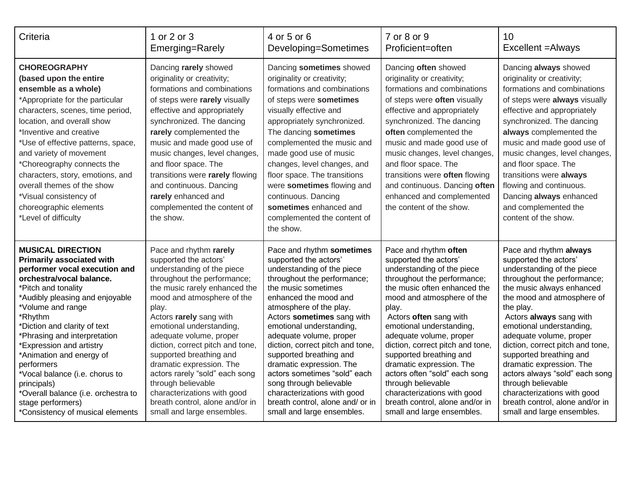| Criteria                                                                                                                                                                                                                                                                                                                                                                                                                                           | 1 or 2 or 3                                                                                                                                                                                                                                                                                                                                                                                                                        | 4 or 5 or 6                                                                                                                                                                                                                                                                                                                                                                                                                                          | 7 or 8 or 9                                                                                                                                                                                                                                                                                                                                                                                                                | 10                                                                                                                                                                                                                                                                                                                                                                                                                                 |
|----------------------------------------------------------------------------------------------------------------------------------------------------------------------------------------------------------------------------------------------------------------------------------------------------------------------------------------------------------------------------------------------------------------------------------------------------|------------------------------------------------------------------------------------------------------------------------------------------------------------------------------------------------------------------------------------------------------------------------------------------------------------------------------------------------------------------------------------------------------------------------------------|------------------------------------------------------------------------------------------------------------------------------------------------------------------------------------------------------------------------------------------------------------------------------------------------------------------------------------------------------------------------------------------------------------------------------------------------------|----------------------------------------------------------------------------------------------------------------------------------------------------------------------------------------------------------------------------------------------------------------------------------------------------------------------------------------------------------------------------------------------------------------------------|------------------------------------------------------------------------------------------------------------------------------------------------------------------------------------------------------------------------------------------------------------------------------------------------------------------------------------------------------------------------------------------------------------------------------------|
|                                                                                                                                                                                                                                                                                                                                                                                                                                                    | Emerging=Rarely                                                                                                                                                                                                                                                                                                                                                                                                                    | Developing=Sometimes                                                                                                                                                                                                                                                                                                                                                                                                                                 | Proficient=often                                                                                                                                                                                                                                                                                                                                                                                                           | Excellent = Always                                                                                                                                                                                                                                                                                                                                                                                                                 |
| <b>CHOREOGRAPHY</b><br>(based upon the entire<br>ensemble as a whole)<br>*Appropriate for the particular<br>characters, scenes, time period,<br>location, and overall show<br>*Inventive and creative<br>*Use of effective patterns, space,<br>and variety of movement<br>*Choreography connects the<br>characters, story, emotions, and<br>overall themes of the show<br>*Visual consistency of<br>choreographic elements<br>*Level of difficulty | Dancing rarely showed<br>originality or creativity;<br>formations and combinations<br>of steps were rarely visually<br>effective and appropriately<br>synchronized. The dancing<br>rarely complemented the<br>music and made good use of<br>music changes, level changes,<br>and floor space. The<br>transitions were rarely flowing<br>and continuous. Dancing<br>rarely enhanced and<br>complemented the content of<br>the show. | Dancing sometimes showed<br>originality or creativity;<br>formations and combinations<br>of steps were sometimes<br>visually effective and<br>appropriately synchronized.<br>The dancing sometimes<br>complemented the music and<br>made good use of music<br>changes, level changes, and<br>floor space. The transitions<br>were sometimes flowing and<br>continuous. Dancing<br>sometimes enhanced and<br>complemented the content of<br>the show. | Dancing often showed<br>originality or creativity;<br>formations and combinations<br>of steps were often visually<br>effective and appropriately<br>synchronized. The dancing<br>often complemented the<br>music and made good use of<br>music changes, level changes,<br>and floor space. The<br>transitions were often flowing<br>and continuous. Dancing often<br>enhanced and complemented<br>the content of the show. | Dancing always showed<br>originality or creativity;<br>formations and combinations<br>of steps were always visually<br>effective and appropriately<br>synchronized. The dancing<br>always complemented the<br>music and made good use of<br>music changes, level changes,<br>and floor space. The<br>transitions were always<br>flowing and continuous.<br>Dancing always enhanced<br>and complemented the<br>content of the show. |
| <b>MUSICAL DIRECTION</b>                                                                                                                                                                                                                                                                                                                                                                                                                           | Pace and rhythm rarely                                                                                                                                                                                                                                                                                                                                                                                                             | Pace and rhythm sometimes                                                                                                                                                                                                                                                                                                                                                                                                                            | Pace and rhythm often                                                                                                                                                                                                                                                                                                                                                                                                      | Pace and rhythm always                                                                                                                                                                                                                                                                                                                                                                                                             |
| <b>Primarily associated with</b>                                                                                                                                                                                                                                                                                                                                                                                                                   | supported the actors'                                                                                                                                                                                                                                                                                                                                                                                                              | supported the actors'                                                                                                                                                                                                                                                                                                                                                                                                                                | supported the actors'                                                                                                                                                                                                                                                                                                                                                                                                      | supported the actors'                                                                                                                                                                                                                                                                                                                                                                                                              |
| performer vocal execution and                                                                                                                                                                                                                                                                                                                                                                                                                      | understanding of the piece                                                                                                                                                                                                                                                                                                                                                                                                         | understanding of the piece                                                                                                                                                                                                                                                                                                                                                                                                                           | understanding of the piece                                                                                                                                                                                                                                                                                                                                                                                                 | understanding of the piece                                                                                                                                                                                                                                                                                                                                                                                                         |
| orchestra/vocal balance.                                                                                                                                                                                                                                                                                                                                                                                                                           | throughout the performance;                                                                                                                                                                                                                                                                                                                                                                                                        | throughout the performance;                                                                                                                                                                                                                                                                                                                                                                                                                          | throughout the performance;                                                                                                                                                                                                                                                                                                                                                                                                | throughout the performance;                                                                                                                                                                                                                                                                                                                                                                                                        |
| *Pitch and tonality                                                                                                                                                                                                                                                                                                                                                                                                                                | the music rarely enhanced the                                                                                                                                                                                                                                                                                                                                                                                                      | the music sometimes                                                                                                                                                                                                                                                                                                                                                                                                                                  | the music often enhanced the                                                                                                                                                                                                                                                                                                                                                                                               | the music always enhanced                                                                                                                                                                                                                                                                                                                                                                                                          |
| *Audibly pleasing and enjoyable                                                                                                                                                                                                                                                                                                                                                                                                                    | mood and atmosphere of the                                                                                                                                                                                                                                                                                                                                                                                                         | enhanced the mood and                                                                                                                                                                                                                                                                                                                                                                                                                                | mood and atmosphere of the                                                                                                                                                                                                                                                                                                                                                                                                 | the mood and atmosphere of                                                                                                                                                                                                                                                                                                                                                                                                         |
| *Volume and range                                                                                                                                                                                                                                                                                                                                                                                                                                  | play.                                                                                                                                                                                                                                                                                                                                                                                                                              | atmosphere of the play.                                                                                                                                                                                                                                                                                                                                                                                                                              | play.                                                                                                                                                                                                                                                                                                                                                                                                                      | the play.                                                                                                                                                                                                                                                                                                                                                                                                                          |
| *Rhythm                                                                                                                                                                                                                                                                                                                                                                                                                                            | Actors rarely sang with                                                                                                                                                                                                                                                                                                                                                                                                            | Actors sometimes sang with                                                                                                                                                                                                                                                                                                                                                                                                                           | Actors often sang with                                                                                                                                                                                                                                                                                                                                                                                                     | Actors always sang with                                                                                                                                                                                                                                                                                                                                                                                                            |
| *Diction and clarity of text                                                                                                                                                                                                                                                                                                                                                                                                                       | emotional understanding,                                                                                                                                                                                                                                                                                                                                                                                                           | emotional understanding,                                                                                                                                                                                                                                                                                                                                                                                                                             | emotional understanding,                                                                                                                                                                                                                                                                                                                                                                                                   | emotional understanding,                                                                                                                                                                                                                                                                                                                                                                                                           |
| *Phrasing and interpretation                                                                                                                                                                                                                                                                                                                                                                                                                       | adequate volume, proper                                                                                                                                                                                                                                                                                                                                                                                                            | adequate volume, proper                                                                                                                                                                                                                                                                                                                                                                                                                              | adequate volume, proper                                                                                                                                                                                                                                                                                                                                                                                                    | adequate volume, proper                                                                                                                                                                                                                                                                                                                                                                                                            |
| *Expression and artistry                                                                                                                                                                                                                                                                                                                                                                                                                           | diction, correct pitch and tone,                                                                                                                                                                                                                                                                                                                                                                                                   | diction, correct pitch and tone,                                                                                                                                                                                                                                                                                                                                                                                                                     | diction, correct pitch and tone,                                                                                                                                                                                                                                                                                                                                                                                           | diction, correct pitch and tone,                                                                                                                                                                                                                                                                                                                                                                                                   |
| *Animation and energy of                                                                                                                                                                                                                                                                                                                                                                                                                           | supported breathing and                                                                                                                                                                                                                                                                                                                                                                                                            | supported breathing and                                                                                                                                                                                                                                                                                                                                                                                                                              | supported breathing and                                                                                                                                                                                                                                                                                                                                                                                                    | supported breathing and                                                                                                                                                                                                                                                                                                                                                                                                            |
| performers                                                                                                                                                                                                                                                                                                                                                                                                                                         | dramatic expression. The                                                                                                                                                                                                                                                                                                                                                                                                           | dramatic expression. The                                                                                                                                                                                                                                                                                                                                                                                                                             | dramatic expression. The                                                                                                                                                                                                                                                                                                                                                                                                   | dramatic expression. The                                                                                                                                                                                                                                                                                                                                                                                                           |
| *Vocal balance (i.e. chorus to                                                                                                                                                                                                                                                                                                                                                                                                                     | actors rarely "sold" each song                                                                                                                                                                                                                                                                                                                                                                                                     | actors sometimes "sold" each                                                                                                                                                                                                                                                                                                                                                                                                                         | actors often "sold" each song                                                                                                                                                                                                                                                                                                                                                                                              | actors always "sold" each song                                                                                                                                                                                                                                                                                                                                                                                                     |
| principals)                                                                                                                                                                                                                                                                                                                                                                                                                                        | through believable                                                                                                                                                                                                                                                                                                                                                                                                                 | song through believable                                                                                                                                                                                                                                                                                                                                                                                                                              | through believable                                                                                                                                                                                                                                                                                                                                                                                                         | through believable                                                                                                                                                                                                                                                                                                                                                                                                                 |
| *Overall balance (i.e. orchestra to                                                                                                                                                                                                                                                                                                                                                                                                                | characterizations with good                                                                                                                                                                                                                                                                                                                                                                                                        | characterizations with good                                                                                                                                                                                                                                                                                                                                                                                                                          | characterizations with good                                                                                                                                                                                                                                                                                                                                                                                                | characterizations with good                                                                                                                                                                                                                                                                                                                                                                                                        |
| stage performers)                                                                                                                                                                                                                                                                                                                                                                                                                                  | breath control, alone and/or in                                                                                                                                                                                                                                                                                                                                                                                                    | breath control, alone and/ or in                                                                                                                                                                                                                                                                                                                                                                                                                     | breath control, alone and/or in                                                                                                                                                                                                                                                                                                                                                                                            | breath control, alone and/or in                                                                                                                                                                                                                                                                                                                                                                                                    |
| *Consistency of musical elements                                                                                                                                                                                                                                                                                                                                                                                                                   | small and large ensembles.                                                                                                                                                                                                                                                                                                                                                                                                         | small and large ensembles.                                                                                                                                                                                                                                                                                                                                                                                                                           | small and large ensembles.                                                                                                                                                                                                                                                                                                                                                                                                 | small and large ensembles.                                                                                                                                                                                                                                                                                                                                                                                                         |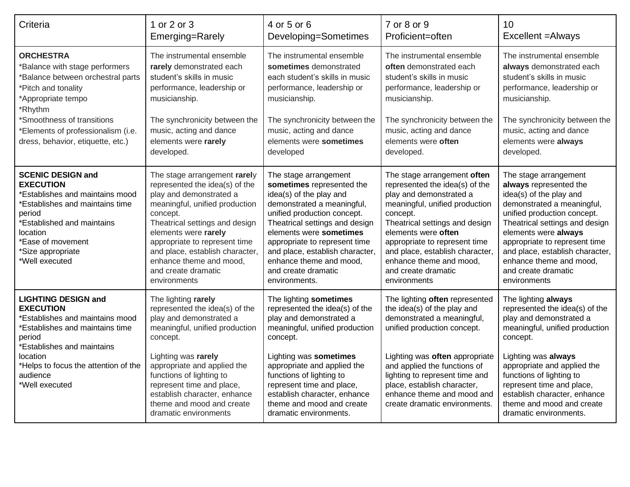| Criteria                                                                                                                                                                                                                           | 1 or 2 or 3                                                                                                                                                                                                                                                                                                                             | 4 or 5 or 6                                                                                                                                                                                                                                                                                                                                    | 7 or 8 or 9                                                                                                                                                                                                                                                                                                                           | 10                                                                                                                                                                                                                                                                                                                                      |
|------------------------------------------------------------------------------------------------------------------------------------------------------------------------------------------------------------------------------------|-----------------------------------------------------------------------------------------------------------------------------------------------------------------------------------------------------------------------------------------------------------------------------------------------------------------------------------------|------------------------------------------------------------------------------------------------------------------------------------------------------------------------------------------------------------------------------------------------------------------------------------------------------------------------------------------------|---------------------------------------------------------------------------------------------------------------------------------------------------------------------------------------------------------------------------------------------------------------------------------------------------------------------------------------|-----------------------------------------------------------------------------------------------------------------------------------------------------------------------------------------------------------------------------------------------------------------------------------------------------------------------------------------|
|                                                                                                                                                                                                                                    | Emerging=Rarely                                                                                                                                                                                                                                                                                                                         | Developing=Sometimes                                                                                                                                                                                                                                                                                                                           | Proficient=often                                                                                                                                                                                                                                                                                                                      | Excellent = Always                                                                                                                                                                                                                                                                                                                      |
| <b>ORCHESTRA</b>                                                                                                                                                                                                                   | The instrumental ensemble                                                                                                                                                                                                                                                                                                               | The instrumental ensemble                                                                                                                                                                                                                                                                                                                      | The instrumental ensemble                                                                                                                                                                                                                                                                                                             | The instrumental ensemble                                                                                                                                                                                                                                                                                                               |
| *Balance with stage performers                                                                                                                                                                                                     | rarely demonstrated each                                                                                                                                                                                                                                                                                                                | sometimes demonstrated                                                                                                                                                                                                                                                                                                                         | often demonstrated each                                                                                                                                                                                                                                                                                                               | always demonstrated each                                                                                                                                                                                                                                                                                                                |
| *Balance between orchestral parts                                                                                                                                                                                                  | student's skills in music                                                                                                                                                                                                                                                                                                               | each student's skills in music                                                                                                                                                                                                                                                                                                                 | student's skills in music                                                                                                                                                                                                                                                                                                             | student's skills in music                                                                                                                                                                                                                                                                                                               |
| *Pitch and tonality                                                                                                                                                                                                                | performance, leadership or                                                                                                                                                                                                                                                                                                              | performance, leadership or                                                                                                                                                                                                                                                                                                                     | performance, leadership or                                                                                                                                                                                                                                                                                                            | performance, leadership or                                                                                                                                                                                                                                                                                                              |
| *Appropriate tempo                                                                                                                                                                                                                 | musicianship.                                                                                                                                                                                                                                                                                                                           | musicianship.                                                                                                                                                                                                                                                                                                                                  | musicianship.                                                                                                                                                                                                                                                                                                                         | musicianship.                                                                                                                                                                                                                                                                                                                           |
| *Rhythm                                                                                                                                                                                                                            | The synchronicity between the                                                                                                                                                                                                                                                                                                           | The synchronicity between the                                                                                                                                                                                                                                                                                                                  | The synchronicity between the                                                                                                                                                                                                                                                                                                         | The synchronicity between the                                                                                                                                                                                                                                                                                                           |
| *Smoothness of transitions                                                                                                                                                                                                         | music, acting and dance                                                                                                                                                                                                                                                                                                                 | music, acting and dance                                                                                                                                                                                                                                                                                                                        | music, acting and dance                                                                                                                                                                                                                                                                                                               | music, acting and dance                                                                                                                                                                                                                                                                                                                 |
| *Elements of professionalism (i.e.                                                                                                                                                                                                 | elements were rarely                                                                                                                                                                                                                                                                                                                    | elements were sometimes                                                                                                                                                                                                                                                                                                                        | elements were often                                                                                                                                                                                                                                                                                                                   | elements were always                                                                                                                                                                                                                                                                                                                    |
| dress, behavior, etiquette, etc.)                                                                                                                                                                                                  | developed.                                                                                                                                                                                                                                                                                                                              | developed                                                                                                                                                                                                                                                                                                                                      | developed.                                                                                                                                                                                                                                                                                                                            | developed.                                                                                                                                                                                                                                                                                                                              |
| <b>SCENIC DESIGN and</b><br><b>EXECUTION</b><br>*Establishes and maintains mood<br>*Establishes and maintains time<br>period<br>*Established and maintains<br>location<br>*Ease of movement<br>*Size appropriate<br>*Well executed | The stage arrangement rarely<br>represented the idea(s) of the<br>play and demonstrated a<br>meaningful, unified production<br>concept.<br>Theatrical settings and design<br>elements were rarely<br>appropriate to represent time<br>and place, establish character,<br>enhance theme and mood,<br>and create dramatic<br>environments | The stage arrangement<br>sometimes represented the<br>idea(s) of the play and<br>demonstrated a meaningful,<br>unified production concept.<br>Theatrical settings and design<br>elements were sometimes<br>appropriate to represent time<br>and place, establish character,<br>enhance theme and mood.<br>and create dramatic<br>environments. | The stage arrangement often<br>represented the idea(s) of the<br>play and demonstrated a<br>meaningful, unified production<br>concept.<br>Theatrical settings and design<br>elements were often<br>appropriate to represent time<br>and place, establish character,<br>enhance theme and mood,<br>and create dramatic<br>environments | The stage arrangement<br>always represented the<br>idea(s) of the play and<br>demonstrated a meaningful,<br>unified production concept.<br>Theatrical settings and design<br>elements were always<br>appropriate to represent time<br>and place, establish character,<br>enhance theme and mood.<br>and create dramatic<br>environments |
| <b>LIGHTING DESIGN and</b><br><b>EXECUTION</b><br>*Establishes and maintains mood<br>'Establishes and maintains time<br>period                                                                                                     | The lighting rarely<br>represented the idea(s) of the<br>play and demonstrated a<br>meaningful, unified production<br>concept.                                                                                                                                                                                                          | The lighting sometimes<br>represented the idea(s) of the<br>play and demonstrated a<br>meaningful, unified production<br>concept.                                                                                                                                                                                                              | The lighting often represented<br>the idea(s) of the play and<br>demonstrated a meaningful,<br>unified production concept.                                                                                                                                                                                                            | The lighting always<br>represented the idea(s) of the<br>play and demonstrated a<br>meaningful, unified production<br>concept.                                                                                                                                                                                                          |
| *Establishes and maintains<br>location<br>*Helps to focus the attention of the<br>audience<br>*Well executed                                                                                                                       | Lighting was rarely<br>appropriate and applied the<br>functions of lighting to<br>represent time and place,<br>establish character, enhance<br>theme and mood and create<br>dramatic environments                                                                                                                                       | Lighting was sometimes<br>appropriate and applied the<br>functions of lighting to<br>represent time and place,<br>establish character, enhance<br>theme and mood and create<br>dramatic environments.                                                                                                                                          | Lighting was often appropriate<br>and applied the functions of<br>lighting to represent time and<br>place, establish character,<br>enhance theme and mood and<br>create dramatic environments.                                                                                                                                        | Lighting was always<br>appropriate and applied the<br>functions of lighting to<br>represent time and place,<br>establish character, enhance<br>theme and mood and create<br>dramatic environments.                                                                                                                                      |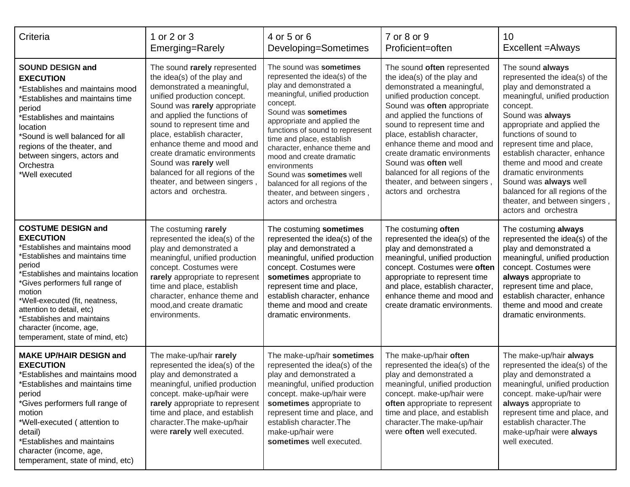| Criteria                                                                                                                                                                                                                                                                                                                                                                            | 1 or 2 or 3<br>Emerging=Rarely                                                                                                                                                                                                                                                                                                                                                                                                             | 4 or 5 or 6<br>Developing=Sometimes                                                                                                                                                                                                                                                                                                                                                                                                                          | 7 or 8 or 9<br>Proficient=often                                                                                                                                                                                                                                                                                                                                                                                                        | 10<br>Excellent = Always                                                                                                                                                                                                                                                                                                                                                                                                                        |
|-------------------------------------------------------------------------------------------------------------------------------------------------------------------------------------------------------------------------------------------------------------------------------------------------------------------------------------------------------------------------------------|--------------------------------------------------------------------------------------------------------------------------------------------------------------------------------------------------------------------------------------------------------------------------------------------------------------------------------------------------------------------------------------------------------------------------------------------|--------------------------------------------------------------------------------------------------------------------------------------------------------------------------------------------------------------------------------------------------------------------------------------------------------------------------------------------------------------------------------------------------------------------------------------------------------------|----------------------------------------------------------------------------------------------------------------------------------------------------------------------------------------------------------------------------------------------------------------------------------------------------------------------------------------------------------------------------------------------------------------------------------------|-------------------------------------------------------------------------------------------------------------------------------------------------------------------------------------------------------------------------------------------------------------------------------------------------------------------------------------------------------------------------------------------------------------------------------------------------|
| <b>SOUND DESIGN and</b><br><b>EXECUTION</b><br><b>Establishes and maintains mood</b><br><b>Establishes and maintains time</b><br>period<br><b>Establishes and maintains</b><br>location<br>*Sound is well balanced for all<br>regions of the theater, and<br>between singers, actors and<br>Orchestra<br>*Well executed                                                             | The sound rarely represented<br>the idea(s) of the play and<br>demonstrated a meaningful,<br>unified production concept.<br>Sound was rarely appropriate<br>and applied the functions of<br>sound to represent time and<br>place, establish character,<br>enhance theme and mood and<br>create dramatic environments<br>Sound was rarely well<br>balanced for all regions of the<br>theater, and between singers,<br>actors and orchestra. | The sound was sometimes<br>represented the idea(s) of the<br>play and demonstrated a<br>meaningful, unified production<br>concept.<br>Sound was sometimes<br>appropriate and applied the<br>functions of sound to represent<br>time and place, establish<br>character, enhance theme and<br>mood and create dramatic<br>environments<br>Sound was sometimes well<br>balanced for all regions of the<br>theater, and between singers,<br>actors and orchestra | The sound often represented<br>the idea(s) of the play and<br>demonstrated a meaningful,<br>unified production concept.<br>Sound was often appropriate<br>and applied the functions of<br>sound to represent time and<br>place, establish character,<br>enhance theme and mood and<br>create dramatic environments<br>Sound was often well<br>balanced for all regions of the<br>theater, and between singers,<br>actors and orchestra | The sound always<br>represented the idea(s) of the<br>play and demonstrated a<br>meaningful, unified production<br>concept.<br>Sound was always<br>appropriate and applied the<br>functions of sound to<br>represent time and place,<br>establish character, enhance<br>theme and mood and create<br>dramatic environments<br>Sound was always well<br>balanced for all regions of the<br>theater, and between singers,<br>actors and orchestra |
| <b>COSTUME DESIGN and</b><br><b>EXECUTION</b><br>'Establishes and maintains mood<br>'Establishes and maintains time<br>period<br>'Establishes and maintains location<br>*Gives performers full range of<br>motion<br>*Well-executed (fit, neatness,<br>attention to detail, etc)<br><b>Establishes and maintains</b><br>character (income, age,<br>temperament, state of mind, etc) | The costuming rarely<br>represented the idea(s) of the<br>play and demonstrated a<br>meaningful, unified production<br>concept. Costumes were<br>rarely appropriate to represent<br>time and place, establish<br>character, enhance theme and<br>mood, and create dramatic<br>environments.                                                                                                                                                | The costuming sometimes<br>represented the idea(s) of the<br>play and demonstrated a<br>meaningful, unified production<br>concept. Costumes were<br>sometimes appropriate to<br>represent time and place,<br>establish character, enhance<br>theme and mood and create<br>dramatic environments.                                                                                                                                                             | The costuming often<br>represented the idea(s) of the<br>play and demonstrated a<br>meaningful, unified production<br>concept. Costumes were often<br>appropriate to represent time<br>and place, establish character,<br>enhance theme and mood and<br>create dramatic environments.                                                                                                                                                  | The costuming always<br>represented the idea(s) of the<br>play and demonstrated a<br>meaningful, unified production<br>concept. Costumes were<br>always appropriate to<br>represent time and place,<br>establish character, enhance<br>theme and mood and create<br>dramatic environments.                                                                                                                                                      |
| <b>MAKE UP/HAIR DESIGN and</b><br><b>EXECUTION</b><br>*Establishes and maintains mood<br>Establishes and maintains time<br>period<br>*Gives performers full range of<br>motion<br>*Well-executed (attention to<br>detail)<br>*Establishes and maintains<br>character (income, age,<br>temperament, state of mind, etc)                                                              | The make-up/hair rarely<br>represented the idea(s) of the<br>play and demonstrated a<br>meaningful, unified production<br>concept. make-up/hair were<br>rarely appropriate to represent<br>time and place, and establish<br>character. The make-up/hair<br>were rarely well executed.                                                                                                                                                      | The make-up/hair sometimes<br>represented the idea(s) of the<br>play and demonstrated a<br>meaningful, unified production<br>concept. make-up/hair were<br>sometimes appropriate to<br>represent time and place, and<br>establish character. The<br>make-up/hair were<br>sometimes well executed.                                                                                                                                                            | The make-up/hair often<br>represented the idea(s) of the<br>play and demonstrated a<br>meaningful, unified production<br>concept. make-up/hair were<br>often appropriate to represent<br>time and place, and establish<br>character. The make-up/hair<br>were often well executed.                                                                                                                                                     | The make-up/hair always<br>represented the idea(s) of the<br>play and demonstrated a<br>meaningful, unified production<br>concept. make-up/hair were<br>always appropriate to<br>represent time and place, and<br>establish character. The<br>make-up/hair were always<br>well executed.                                                                                                                                                        |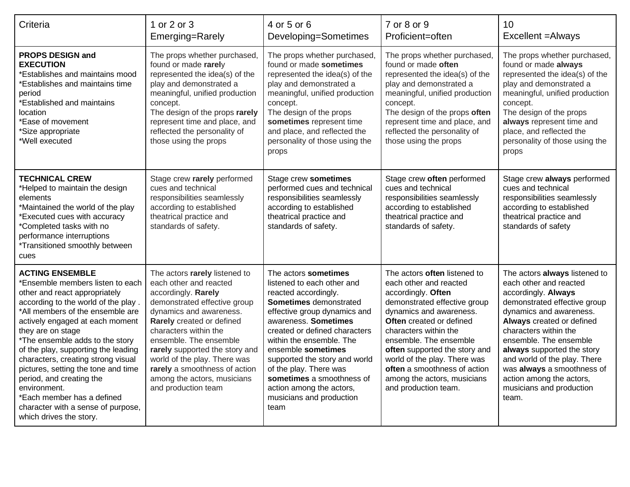| Criteria                                                                                                                                                                                                                                                                                                                                                                                                                                                                                                                         | 1 or 2 or 3<br>Emerging=Rarely                                                                                                                                                                                                                                                                                                                                                     | 4 or 5 or 6<br>Developing=Sometimes                                                                                                                                                                                                                                                                                                                                                                     | 7 or 8 or 9<br>Proficient=often                                                                                                                                                                                                                                                                                                                                                       | 10<br>Excellent = Always                                                                                                                                                                                                                                                                                                                                                               |
|----------------------------------------------------------------------------------------------------------------------------------------------------------------------------------------------------------------------------------------------------------------------------------------------------------------------------------------------------------------------------------------------------------------------------------------------------------------------------------------------------------------------------------|------------------------------------------------------------------------------------------------------------------------------------------------------------------------------------------------------------------------------------------------------------------------------------------------------------------------------------------------------------------------------------|---------------------------------------------------------------------------------------------------------------------------------------------------------------------------------------------------------------------------------------------------------------------------------------------------------------------------------------------------------------------------------------------------------|---------------------------------------------------------------------------------------------------------------------------------------------------------------------------------------------------------------------------------------------------------------------------------------------------------------------------------------------------------------------------------------|----------------------------------------------------------------------------------------------------------------------------------------------------------------------------------------------------------------------------------------------------------------------------------------------------------------------------------------------------------------------------------------|
| <b>PROPS DESIGN and</b><br><b>EXECUTION</b><br>*Establishes and maintains mood<br>*Establishes and maintains time<br>period<br>*Established and maintains<br>location<br>*Ease of movement<br>*Size appropriate<br>*Well executed                                                                                                                                                                                                                                                                                                | The props whether purchased,<br>found or made rarely<br>represented the idea(s) of the<br>play and demonstrated a<br>meaningful, unified production<br>concept.<br>The design of the props rarely<br>represent time and place, and<br>reflected the personality of<br>those using the props                                                                                        | The props whether purchased,<br>found or made sometimes<br>represented the idea(s) of the<br>play and demonstrated a<br>meaningful, unified production<br>concept.<br>The design of the props<br>sometimes represent time<br>and place, and reflected the<br>personality of those using the<br>props                                                                                                    | The props whether purchased,<br>found or made often<br>represented the idea(s) of the<br>play and demonstrated a<br>meaningful, unified production<br>concept.<br>The design of the props often<br>represent time and place, and<br>reflected the personality of<br>those using the props                                                                                             | The props whether purchased,<br>found or made always<br>represented the idea(s) of the<br>play and demonstrated a<br>meaningful, unified production<br>concept.<br>The design of the props<br>always represent time and<br>place, and reflected the<br>personality of those using the<br>props                                                                                         |
| <b>TECHNICAL CREW</b><br>*Helped to maintain the design<br>elements<br>*Maintained the world of the play<br>*Executed cues with accuracy<br>*Completed tasks with no<br>performance interruptions<br><i>*Transitioned smoothly between</i><br>cues                                                                                                                                                                                                                                                                               | Stage crew rarely performed<br>cues and technical<br>responsibilities seamlessly<br>according to established<br>theatrical practice and<br>standards of safety.                                                                                                                                                                                                                    | Stage crew sometimes<br>performed cues and technical<br>responsibilities seamlessly<br>according to established<br>theatrical practice and<br>standards of safety.                                                                                                                                                                                                                                      | Stage crew often performed<br>cues and technical<br>responsibilities seamlessly<br>according to established<br>theatrical practice and<br>standards of safety.                                                                                                                                                                                                                        | Stage crew always performed<br>cues and technical<br>responsibilities seamlessly<br>according to established<br>theatrical practice and<br>standards of safety                                                                                                                                                                                                                         |
| <b>ACTING ENSEMBLE</b><br>*Ensemble members listen to each<br>other and react appropriately<br>according to the world of the play.<br>*All members of the ensemble are<br>actively engaged at each moment<br>they are on stage<br>*The ensemble adds to the story<br>of the play, supporting the leading<br>characters, creating strong visual<br>pictures, setting the tone and time<br>period, and creating the<br>environment.<br>*Each member has a defined<br>character with a sense of purpose,<br>which drives the story. | The actors rarely listened to<br>each other and reacted<br>accordingly. Rarely<br>demonstrated effective group<br>dynamics and awareness.<br>Rarely created or defined<br>characters within the<br>ensemble. The ensemble<br>rarely supported the story and<br>world of the play. There was<br>rarely a smoothness of action<br>among the actors, musicians<br>and production team | The actors sometimes<br>listened to each other and<br>reacted accordingly.<br>Sometimes demonstrated<br>effective group dynamics and<br>awareness. Sometimes<br>created or defined characters<br>within the ensemble. The<br>ensemble sometimes<br>supported the story and world<br>of the play. There was<br>sometimes a smoothness of<br>action among the actors,<br>musicians and production<br>team | The actors often listened to<br>each other and reacted<br>accordingly. Often<br>demonstrated effective group<br>dynamics and awareness.<br><b>Often</b> created or defined<br>characters within the<br>ensemble. The ensemble<br>often supported the story and<br>world of the play. There was<br>often a smoothness of action<br>among the actors, musicians<br>and production team. | The actors always listened to<br>each other and reacted<br>accordingly. Always<br>demonstrated effective group<br>dynamics and awareness.<br>Always created or defined<br>characters within the<br>ensemble. The ensemble<br>always supported the story<br>and world of the play. There<br>was always a smoothness of<br>action among the actors,<br>musicians and production<br>team. |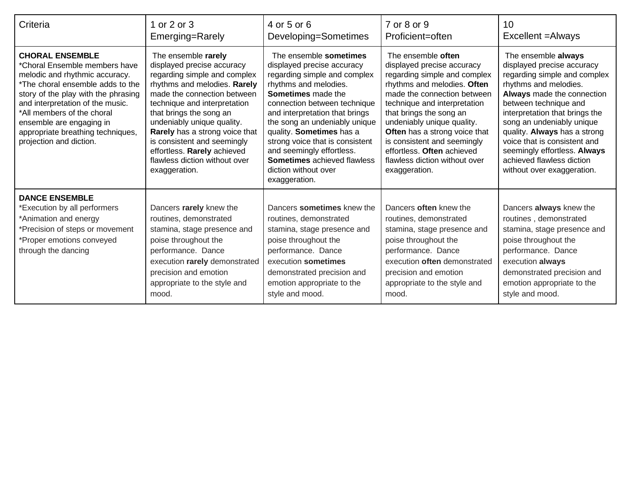| Criteria                                                                                                                                                                                                                                                                                                                           | 1 or 2 or 3<br>Emerging=Rarely                                                                                                                                                                                                                                                                                                                                                              | 4 or 5 or 6<br>Developing=Sometimes                                                                                                                                                                                                                                                                                                                                                                                      | 7 or 8 or 9<br>Proficient=often                                                                                                                                                                                                                                                                                                                                                         | 10<br>Excellent = Always                                                                                                                                                                                                                                                                                                                                                                    |
|------------------------------------------------------------------------------------------------------------------------------------------------------------------------------------------------------------------------------------------------------------------------------------------------------------------------------------|---------------------------------------------------------------------------------------------------------------------------------------------------------------------------------------------------------------------------------------------------------------------------------------------------------------------------------------------------------------------------------------------|--------------------------------------------------------------------------------------------------------------------------------------------------------------------------------------------------------------------------------------------------------------------------------------------------------------------------------------------------------------------------------------------------------------------------|-----------------------------------------------------------------------------------------------------------------------------------------------------------------------------------------------------------------------------------------------------------------------------------------------------------------------------------------------------------------------------------------|---------------------------------------------------------------------------------------------------------------------------------------------------------------------------------------------------------------------------------------------------------------------------------------------------------------------------------------------------------------------------------------------|
| <b>CHORAL ENSEMBLE</b><br>*Choral Ensemble members have<br>melodic and rhythmic accuracy.<br>*The choral ensemble adds to the<br>story of the play with the phrasing<br>and interpretation of the music.<br>*All members of the choral<br>ensemble are engaging in<br>appropriate breathing techniques,<br>projection and diction. | The ensemble rarely<br>displayed precise accuracy<br>regarding simple and complex<br>rhythms and melodies. Rarely<br>made the connection between<br>technique and interpretation<br>that brings the song an<br>undeniably unique quality.<br>Rarely has a strong voice that<br>is consistent and seemingly<br>effortless. Rarely achieved<br>flawless diction without over<br>exaggeration. | The ensemble sometimes<br>displayed precise accuracy<br>regarding simple and complex<br>rhythms and melodies.<br><b>Sometimes</b> made the<br>connection between technique<br>and interpretation that brings<br>the song an undeniably unique<br>quality. Sometimes has a<br>strong voice that is consistent<br>and seemingly effortless.<br><b>Sometimes</b> achieved flawless<br>diction without over<br>exaggeration. | The ensemble often<br>displayed precise accuracy<br>regarding simple and complex<br>rhythms and melodies. Often<br>made the connection between<br>technique and interpretation<br>that brings the song an<br>undeniably unique quality.<br>Often has a strong voice that<br>is consistent and seemingly<br>effortless. Often achieved<br>flawless diction without over<br>exaggeration. | The ensemble always<br>displayed precise accuracy<br>regarding simple and complex<br>rhythms and melodies.<br>Always made the connection<br>between technique and<br>interpretation that brings the<br>song an undeniably unique<br>quality. Always has a strong<br>voice that is consistent and<br>seemingly effortless. Always<br>achieved flawless diction<br>without over exaggeration. |
| <b>DANCE ENSEMBLE</b><br>*Execution by all performers<br>*Animation and energy<br>*Precision of steps or movement<br>*Proper emotions conveyed<br>through the dancing                                                                                                                                                              | Dancers rarely knew the<br>routines, demonstrated<br>stamina, stage presence and<br>poise throughout the<br>performance. Dance<br>execution rarely demonstrated<br>precision and emotion<br>appropriate to the style and<br>mood.                                                                                                                                                           | Dancers sometimes knew the<br>routines, demonstrated<br>stamina, stage presence and<br>poise throughout the<br>performance. Dance<br>execution sometimes<br>demonstrated precision and<br>emotion appropriate to the<br>style and mood.                                                                                                                                                                                  | Dancers often knew the<br>routines, demonstrated<br>stamina, stage presence and<br>poise throughout the<br>performance. Dance<br>execution often demonstrated<br>precision and emotion<br>appropriate to the style and<br>mood.                                                                                                                                                         | Dancers always knew the<br>routines, demonstrated<br>stamina, stage presence and<br>poise throughout the<br>performance. Dance<br>execution always<br>demonstrated precision and<br>emotion appropriate to the<br>style and mood.                                                                                                                                                           |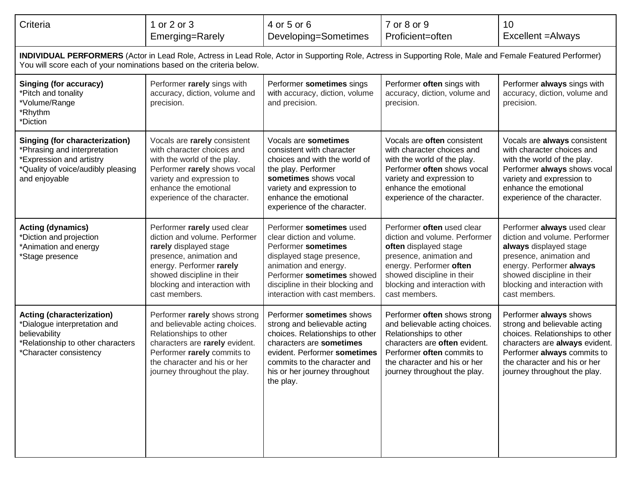| Criteria                                                                                                                                                                                                                           | 1 or 2 or 3<br>Emerging=Rarely                                                                                                                                                                                                | 4 or 5 or 6<br>Developing=Sometimes                                                                                                                                                                                                    | 7 or 8 or 9<br>Proficient=often                                                                                                                                                                                            | 10<br>Excellent = Always                                                                                                                                                                                                      |  |  |
|------------------------------------------------------------------------------------------------------------------------------------------------------------------------------------------------------------------------------------|-------------------------------------------------------------------------------------------------------------------------------------------------------------------------------------------------------------------------------|----------------------------------------------------------------------------------------------------------------------------------------------------------------------------------------------------------------------------------------|----------------------------------------------------------------------------------------------------------------------------------------------------------------------------------------------------------------------------|-------------------------------------------------------------------------------------------------------------------------------------------------------------------------------------------------------------------------------|--|--|
| INDIVIDUAL PERFORMERS (Actor in Lead Role, Actress in Lead Role, Actor in Supporting Role, Actress in Supporting Role, Male and Female Featured Performer)<br>You will score each of your nominations based on the criteria below. |                                                                                                                                                                                                                               |                                                                                                                                                                                                                                        |                                                                                                                                                                                                                            |                                                                                                                                                                                                                               |  |  |
| <b>Singing (for accuracy)</b><br>*Pitch and tonality<br>*Volume/Range<br>*Rhythm<br>*Diction                                                                                                                                       | Performer rarely sings with<br>accuracy, diction, volume and<br>precision.                                                                                                                                                    | Performer sometimes sings<br>with accuracy, diction, volume<br>and precision.                                                                                                                                                          | Performer often sings with<br>accuracy, diction, volume and<br>precision.                                                                                                                                                  | Performer always sings with<br>accuracy, diction, volume and<br>precision.                                                                                                                                                    |  |  |
| <b>Singing (for characterization)</b><br>Phrasing and interpretation<br><b>Expression and artistry</b><br>*Quality of voice/audibly pleasing<br>and enjoyable                                                                      | Vocals are rarely consistent<br>with character choices and<br>with the world of the play.<br>Performer rarely shows vocal<br>variety and expression to<br>enhance the emotional<br>experience of the character.               | Vocals are sometimes<br>consistent with character<br>choices and with the world of<br>the play. Performer<br>sometimes shows vocal<br>variety and expression to<br>enhance the emotional<br>experience of the character.               | Vocals are often consistent<br>with character choices and<br>with the world of the play.<br>Performer often shows vocal<br>variety and expression to<br>enhance the emotional<br>experience of the character.              | Vocals are always consistent<br>with character choices and<br>with the world of the play.<br>Performer always shows vocal<br>variety and expression to<br>enhance the emotional<br>experience of the character.               |  |  |
| <b>Acting (dynamics)</b><br>*Diction and projection<br>*Animation and energy<br>*Stage presence                                                                                                                                    | Performer rarely used clear<br>diction and volume. Performer<br>rarely displayed stage<br>presence, animation and<br>energy. Performer rarely<br>showed discipline in their<br>blocking and interaction with<br>cast members. | Performer sometimes used<br>clear diction and volume.<br>Performer sometimes<br>displayed stage presence,<br>animation and energy.<br>Performer sometimes showed<br>discipline in their blocking and<br>interaction with cast members. | Performer often used clear<br>diction and volume. Performer<br>often displayed stage<br>presence, animation and<br>energy. Performer often<br>showed discipline in their<br>blocking and interaction with<br>cast members. | Performer always used clear<br>diction and volume. Performer<br>always displayed stage<br>presence, animation and<br>energy. Performer always<br>showed discipline in their<br>blocking and interaction with<br>cast members. |  |  |
| <b>Acting (characterization)</b><br>*Dialogue interpretation and<br>believability<br>Relationship to other characters<br>*Character consistency                                                                                    | Performer rarely shows strong<br>and believable acting choices.<br>Relationships to other<br>characters are rarely evident.<br>Performer rarely commits to<br>the character and his or her<br>journey throughout the play.    | Performer sometimes shows<br>strong and believable acting<br>choices. Relationships to other<br>characters are sometimes<br>evident. Performer sometimes<br>commits to the character and<br>his or her journey throughout<br>the play. | Performer often shows strong<br>and believable acting choices.<br>Relationships to other<br>characters are often evident.<br>Performer often commits to<br>the character and his or her<br>journey throughout the play.    | Performer always shows<br>strong and believable acting<br>choices. Relationships to other<br>characters are always evident.<br>Performer always commits to<br>the character and his or her<br>journey throughout the play.    |  |  |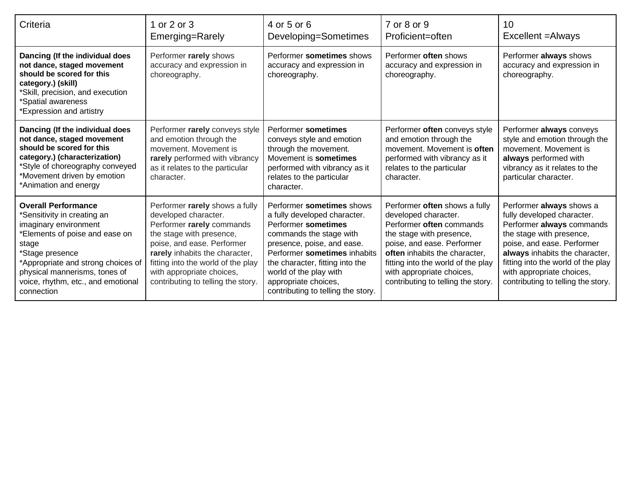| Criteria                                                                                                                                                                                                                                                                   | 1 or 2 or 3<br>Emerging=Rarely                                                                                                                                                                                                                                                           | 4 or 5 or 6<br>Developing=Sometimes                                                                                                                                                                                                                                                                  | 7 or 8 or 9<br>Proficient=often                                                                                                                                                                                                                                                       | 10<br>Excellent = Always                                                                                                                                                                                                                                                                 |
|----------------------------------------------------------------------------------------------------------------------------------------------------------------------------------------------------------------------------------------------------------------------------|------------------------------------------------------------------------------------------------------------------------------------------------------------------------------------------------------------------------------------------------------------------------------------------|------------------------------------------------------------------------------------------------------------------------------------------------------------------------------------------------------------------------------------------------------------------------------------------------------|---------------------------------------------------------------------------------------------------------------------------------------------------------------------------------------------------------------------------------------------------------------------------------------|------------------------------------------------------------------------------------------------------------------------------------------------------------------------------------------------------------------------------------------------------------------------------------------|
| Dancing (If the individual does<br>not dance, staged movement<br>should be scored for this<br>category.) (skill)<br>*Skill, precision, and execution<br>*Spatial awareness<br>*Expression and artistry                                                                     | Performer rarely shows<br>accuracy and expression in<br>choreography.                                                                                                                                                                                                                    | Performer sometimes shows<br>accuracy and expression in<br>choreography.                                                                                                                                                                                                                             | Performer often shows<br>accuracy and expression in<br>choreography.                                                                                                                                                                                                                  | Performer always shows<br>accuracy and expression in<br>choreography.                                                                                                                                                                                                                    |
| Dancing (If the individual does<br>not dance, staged movement<br>should be scored for this<br>category.) (characterization)<br>*Style of choreography conveyed<br>*Movement driven by emotion<br>*Animation and energy                                                     | Performer rarely conveys style<br>and emotion through the<br>movement. Movement is<br>rarely performed with vibrancy<br>as it relates to the particular<br>character.                                                                                                                    | Performer sometimes<br>conveys style and emotion<br>through the movement.<br>Movement is sometimes<br>performed with vibrancy as it<br>relates to the particular<br>character.                                                                                                                       | Performer often conveys style<br>and emotion through the<br>movement. Movement is often<br>performed with vibrancy as it<br>relates to the particular<br>character.                                                                                                                   | Performer always conveys<br>style and emotion through the<br>movement. Movement is<br>always performed with<br>vibrancy as it relates to the<br>particular character.                                                                                                                    |
| <b>Overall Performance</b><br>*Sensitivity in creating an<br>imaginary environment<br>Elements of poise and ease on<br>stage<br>*Stage presence<br>*Appropriate and strong choices of<br>physical mannerisms, tones of<br>voice, rhythm, etc., and emotional<br>connection | Performer rarely shows a fully<br>developed character.<br>Performer rarely commands<br>the stage with presence,<br>poise, and ease. Performer<br>rarely inhabits the character,<br>fitting into the world of the play<br>with appropriate choices,<br>contributing to telling the story. | Performer sometimes shows<br>a fully developed character.<br>Performer sometimes<br>commands the stage with<br>presence, poise, and ease.<br>Performer sometimes inhabits<br>the character, fitting into the<br>world of the play with<br>appropriate choices,<br>contributing to telling the story. | Performer often shows a fully<br>developed character.<br>Performer often commands<br>the stage with presence,<br>poise, and ease. Performer<br>often inhabits the character,<br>fitting into the world of the play<br>with appropriate choices,<br>contributing to telling the story. | Performer always shows a<br>fully developed character.<br>Performer always commands<br>the stage with presence,<br>poise, and ease. Performer<br>always inhabits the character,<br>fitting into the world of the play<br>with appropriate choices,<br>contributing to telling the story. |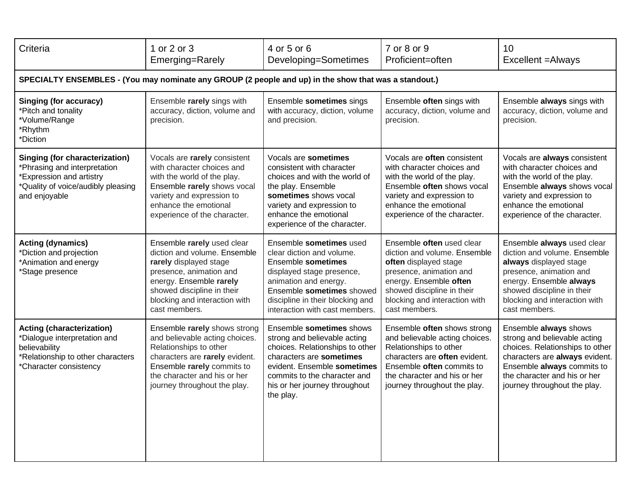| Criteria                                                                                                                                                 | 1 or 2 or 3<br>Emerging=Rarely                                                                                                                                                                                             | 4 or 5 or 6<br>Developing=Sometimes                                                                                                                                                                                                  | 7 or 8 or 9<br>Proficient=often                                                                                                                                                                                         | 10<br>Excellent = Always                                                                                                                                                                                                   |  |  |
|----------------------------------------------------------------------------------------------------------------------------------------------------------|----------------------------------------------------------------------------------------------------------------------------------------------------------------------------------------------------------------------------|--------------------------------------------------------------------------------------------------------------------------------------------------------------------------------------------------------------------------------------|-------------------------------------------------------------------------------------------------------------------------------------------------------------------------------------------------------------------------|----------------------------------------------------------------------------------------------------------------------------------------------------------------------------------------------------------------------------|--|--|
| SPECIALTY ENSEMBLES - (You may nominate any GROUP (2 people and up) in the show that was a standout.)                                                    |                                                                                                                                                                                                                            |                                                                                                                                                                                                                                      |                                                                                                                                                                                                                         |                                                                                                                                                                                                                            |  |  |
| <b>Singing (for accuracy)</b><br>*Pitch and tonality<br>*Volume/Range<br>*Rhythm<br>*Diction                                                             | Ensemble rarely sings with<br>accuracy, diction, volume and<br>precision.                                                                                                                                                  | Ensemble sometimes sings<br>with accuracy, diction, volume<br>and precision.                                                                                                                                                         | Ensemble often sings with<br>accuracy, diction, volume and<br>precision.                                                                                                                                                | Ensemble always sings with<br>accuracy, diction, volume and<br>precision.                                                                                                                                                  |  |  |
| <b>Singing (for characterization)</b><br>*Phrasing and interpretation<br>*Expression and artistry<br>*Quality of voice/audibly pleasing<br>and enjoyable | Vocals are rarely consistent<br>with character choices and<br>with the world of the play.<br>Ensemble rarely shows vocal<br>variety and expression to<br>enhance the emotional<br>experience of the character.             | Vocals are sometimes<br>consistent with character<br>choices and with the world of<br>the play. Ensemble<br>sometimes shows vocal<br>variety and expression to<br>enhance the emotional<br>experience of the character.              | Vocals are often consistent<br>with character choices and<br>with the world of the play.<br>Ensemble often shows vocal<br>variety and expression to<br>enhance the emotional<br>experience of the character.            | Vocals are always consistent<br>with character choices and<br>with the world of the play.<br>Ensemble always shows vocal<br>variety and expression to<br>enhance the emotional<br>experience of the character.             |  |  |
| <b>Acting (dynamics)</b><br>*Diction and projection<br>*Animation and energy<br>*Stage presence                                                          | Ensemble rarely used clear<br>diction and volume. Ensemble<br>rarely displayed stage<br>presence, animation and<br>energy. Ensemble rarely<br>showed discipline in their<br>blocking and interaction with<br>cast members. | Ensemble sometimes used<br>clear diction and volume.<br>Ensemble sometimes<br>displayed stage presence,<br>animation and energy.<br>Ensemble sometimes showed<br>discipline in their blocking and<br>interaction with cast members.  | Ensemble often used clear<br>diction and volume. Ensemble<br>often displayed stage<br>presence, animation and<br>energy. Ensemble often<br>showed discipline in their<br>blocking and interaction with<br>cast members. | Ensemble always used clear<br>diction and volume. Ensemble<br>always displayed stage<br>presence, animation and<br>energy. Ensemble always<br>showed discipline in their<br>blocking and interaction with<br>cast members. |  |  |
| <b>Acting (characterization)</b><br>*Dialogue interpretation and<br>believability<br>*Relationship to other characters<br>*Character consistency         | Ensemble rarely shows strong<br>and believable acting choices.<br>Relationships to other<br>characters are rarely evident.<br>Ensemble rarely commits to<br>the character and his or her<br>journey throughout the play.   | Ensemble sometimes shows<br>strong and believable acting<br>choices. Relationships to other<br>characters are sometimes<br>evident. Ensemble sometimes<br>commits to the character and<br>his or her journey throughout<br>the play. | Ensemble often shows strong<br>and believable acting choices.<br>Relationships to other<br>characters are often evident.<br>Ensemble often commits to<br>the character and his or her<br>journey throughout the play.   | Ensemble always shows<br>strong and believable acting<br>choices. Relationships to other<br>characters are always evident.<br>Ensemble always commits to<br>the character and his or her<br>journey throughout the play.   |  |  |